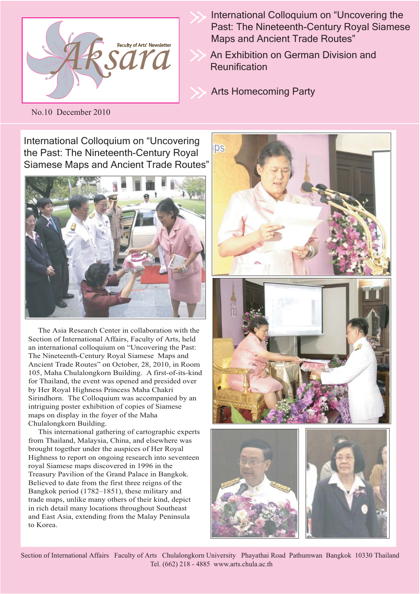

International Colloquium on "Uncovering the Past: The Nineteenth-Century Royal Siamese Maps and Ancient Trade Routes"

An Exhibition on German Division and **Reunification** 

Arts Homecoming Party

No.10 December 2010

International Colloquium on "Uncovering the Past: The Nineteenth-Century Royal Siamese Maps and Ancient Trade Routes"



 The Asia Research Center in collaboration with the Section of International Affairs, Faculty of Arts, held an international colloquium on "Uncovering the Past: The Nineteenth-Century Royal Siamese Maps and Ancient Trade Routes" on October, 28, 2010, in Room 105, Maha Chulalongkorn Building. A first-of-its-kind for Thailand, the event was opened and presided over by Her Royal Highness Princess Maha Chakri Sirindhorn. The Colloquium was accompanied by an intriguing poster exhibition of copies of Siamese maps on display in the foyer of the Maha Chulalongkorn Building.

 This international gathering of cartographic experts from Thailand, Malaysia, China, and elsewhere was brought together under the auspices of Her Royal Highness to report on ongoing research into seventeen royal Siamese maps discovered in 1996 in the Treasury Pavilion of the Grand Palace in Bangkok. Believed to date from the first three reigns of the Bangkok period (1782–1851), these military and trade maps, unlike many others of their kind, depict in rich detail many locations throughout Southeast and East Asia, extending from the Malay Peninsula to Korea.



Section of International Affairs Faculty of Arts Chulalongkorn University Phayathai Road Pathumwan Bangkok 10330 Thailand Tel. (662) 218 - 4885 www.arts.chula.ac.th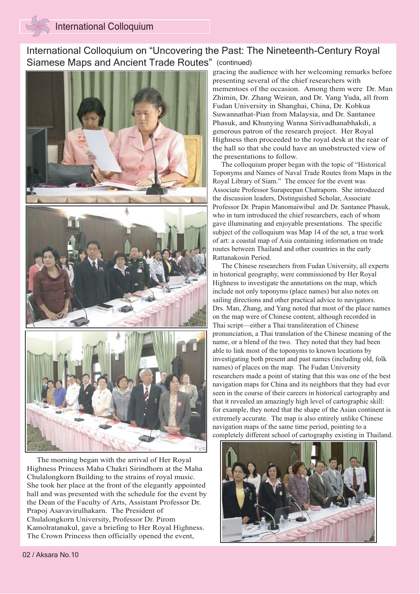## International Colloquium on "Uncovering the Past: The Nineteenth-Century Royal Siamese Maps and Ancient Trade Routes" (continued)



 The morning began with the arrival of Her Royal Highness Princess Maha Chakri Sirindhorn at the Maha Chulalongkorn Building to the strains of royal music. She took her place at the front of the elegantly appointed hall and was presented with the schedule for the event by the Dean of the Faculty of Arts, Assistant Professor Dr. Prapoj Asavavirulhakarn. The President of Chulalongkorn University, Professor Dr. Pirom Kamolratanakul, gave a briefing to Her Royal Highness. The Crown Princess then officially opened the event,

gracing the audience with her welcoming remarks before presenting several of the chief researchers with mementoes of the occasion. Among them were Dr. Man Zhimin, Dr. Zhang Weiran, and Dr. Yang Yuda, all from Fudan University in Shanghai, China, Dr. Kobkua Suwannathat-Pian from Malaysia, and Dr. Santanee Phasuk, and Khunying Wanna Sirivadhanabhakdi, a generous patron of the research project. Her Royal Highness then proceeded to the royal desk at the rear of the hall so that she could have an unobstructed view of the presentations to follow.

 The colloquium proper began with the topic of "Historical Toponyms and Names of Naval Trade Routes from Maps in the Royal Library of Siam." The emcee for the event was Associate Professor Surapeepan Chatraporn. She introduced the discussion leaders, Distinguished Scholar, Associate Professor Dr. Prapin Manomaiwibul and Dr. Santanee Phasuk, who in turn introduced the chief researchers, each of whom gave illuminating and enjoyable presentations. The specific subject of the colloquium was Map 14 of the set, a true work of art: a coastal map of Asia containing information on trade routes between Thailand and other countries in the early Rattanakosin Period.

 The Chinese researchers from Fudan University, all experts in historical geography, were commissioned by Her Royal Highness to investigate the annotations on the map, which include not only toponyms (place names) but also notes on sailing directions and other practical advice to navigators. Drs. Man, Zhang, and Yang noted that most of the place names on the map were of Chinese content, although recorded in Thai script—either a Thai transliteration of Chinese pronunciation, a Thai translation of the Chinese meaning of the name, or a blend of the two. They noted that they had been able to link most of the toponyms to known locations by investigating both present and past names (including old, folk names) of places on the map. The Fudan University researchers made a point of stating that this was one of the best navigation maps for China and its neighbors that they had ever seen in the course of their careers in historical cartography and that it revealed an amazingly high level of cartographic skill: for example, they noted that the shape of the Asian continent is extremely accurate. The map is also entirely unlike Chinese navigation maps of the same time period, pointing to a completely different school of cartography existing in Thailand.

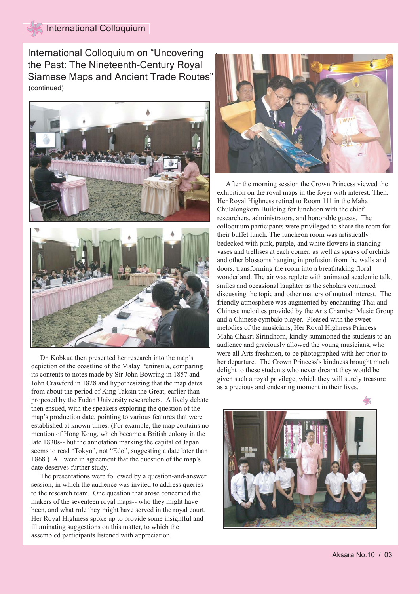## International Colloquium

International Colloquium on "Uncovering the Past: The Nineteenth-Century Royal Siamese Maps and Ancient Trade Routes" (continued)





 Dr. Kobkua then presented her research into the map's depiction of the coastline of the Malay Peninsula, comparing its contents to notes made by Sir John Bowring in 1857 and John Crawford in 1828 and hypothesizing that the map dates from about the period of King Taksin the Great, earlier than proposed by the Fudan University researchers. A lively debate then ensued, with the speakers exploring the question of the map's production date, pointing to various features that were established at known times. (For example, the map contains no mention of Hong Kong, which became a British colony in the late 1830s-- but the annotation marking the capital of Japan seems to read "Tokyo", not "Edo", suggesting a date later than 1868.) All were in agreement that the question of the map's date deserves further study.

 The presentations were followed by a question-and-answer session, in which the audience was invited to address queries to the research team. One question that arose concerned the makers of the seventeen royal maps-- who they might have been, and what role they might have served in the royal court. Her Royal Highness spoke up to provide some insightful and illuminating suggestions on this matter, to which the assembled participants listened with appreciation.



 After the morning session the Crown Princess viewed the exhibition on the royal maps in the foyer with interest. Then, Her Royal Highness retired to Room 111 in the Maha Chulalongkorn Building for luncheon with the chief researchers, administrators, and honorable guests. The colloquium participants were privileged to share the room for their buffet lunch. The luncheon room was artistically bedecked with pink, purple, and white flowers in standing vases and trellises at each corner, as well as sprays of orchids and other blossoms hanging in profusion from the walls and doors, transforming the room into a breathtaking floral wonderland. The air was replete with animated academic talk, smiles and occasional laughter as the scholars continued discussing the topic and other matters of mutual interest. The friendly atmosphere was augmented by enchanting Thai and Chinese melodies provided by the Arts Chamber Music Group and a Chinese cymbalo player. Pleased with the sweet melodies of the musicians, Her Royal Highness Princess Maha Chakri Sirindhorn, kindly summoned the students to an audience and graciously allowed the young musicians, who were all Arts freshmen, to be photographed with her prior to her departure. The Crown Princess's kindness brought much delight to these students who never dreamt they would be given such a royal privilege, which they will surely treasure as a precious and endearing moment in their lives.

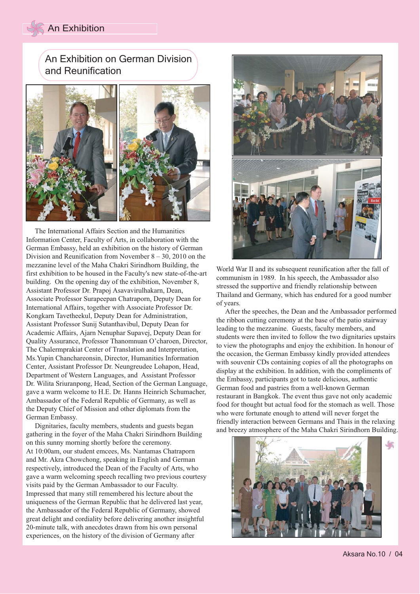#### An Exhibition

### An Exhibition on German Division and Reunification



 The International Affairs Section and the Humanities Information Center, Faculty of Arts, in collaboration with the German Embassy, held an exhibition on the history of German Division and Reunification from November 8 – 30, 2010 on the mezzanine level of the Maha Chakri Sirindhorn Building, the first exhibition to be housed in the Faculty's new state-of-the-art building. On the opening day of the exhibition, November 8, Assistant Professor Dr. Prapoj Asavavirulhakarn, Dean, Associate Professor Surapeepan Chatraporn, Deputy Dean for International Affairs, together with Associate Professor Dr. Kongkarn Tavetheekul, Deputy Dean for Administration, Assistant Professor Sunij Sutanthavibul, Deputy Dean for Academic Affairs, Ajarn Nenuphar Supavej, Deputy Dean for Quality Assurance, Professor Thanomnuan O'charoen, Director, The Chalermprakiat Center of Translation and Interpretation, Ms.Yupin Chanchareonsin, Director, Humanities Information Center, Assistant Professor Dr. Neungreudee Lohapon, Head, Department of Western Languages, and Assistant Professor Dr. Wilita Sriuranpong, Head, Section of the German Language, gave a warm welcome to H.E. Dr. Hanns Heinrich Schumacher, Ambassador of the Federal Republic of Germany, as well as the Deputy Chief of Mission and other diplomats from the German Embassy.

 Dignitaries, faculty members, students and guests began gathering in the foyer of the Maha Chakri Sirindhorn Building on this sunny morning shortly before the ceremony. At 10:00am, our student emcees, Ms. Nantamas Chatraporn and Mr. Akra Chowchong, speaking in English and German respectively, introduced the Dean of the Faculty of Arts, who gave a warm welcoming speech recalling two previous courtesy visits paid by the German Ambassador to our Faculty. Impressed that many still remembered his lecture about the uniqueness of the German Republic that he delivered last year, the Ambassador of the Federal Republic of Germany, showed great delight and cordiality before delivering another insightful 20-minute talk, with anecdotes drawn from his own personal experiences, on the history of the division of Germany after



World War II and its subsequent reunification after the fall of communism in 1989. In his speech, the Ambassador also stressed the supportive and friendly relationship between Thailand and Germany, which has endured for a good number of years.

 After the speeches, the Dean and the Ambassador performed the ribbon cutting ceremony at the base of the patio stairway leading to the mezzanine. Guests, faculty members, and students were then invited to follow the two dignitaries upstairs to view the photographs and enjoy the exhibition. In honour of the occasion, the German Embassy kindly provided attendees with souvenir CDs containing copies of all the photographs on display at the exhibition. In addition, with the compliments of the Embassy, participants got to taste delicious, authentic German food and pastries from a well-known German restaurant in Bangkok. The event thus gave not only academic food for thought but actual food for the stomach as well. Those who were fortunate enough to attend will never forget the friendly interaction between Germans and Thais in the relaxing and breezy atmosphere of the Maha Chakri Sirindhorn Building.



Aksara No.10 / 04